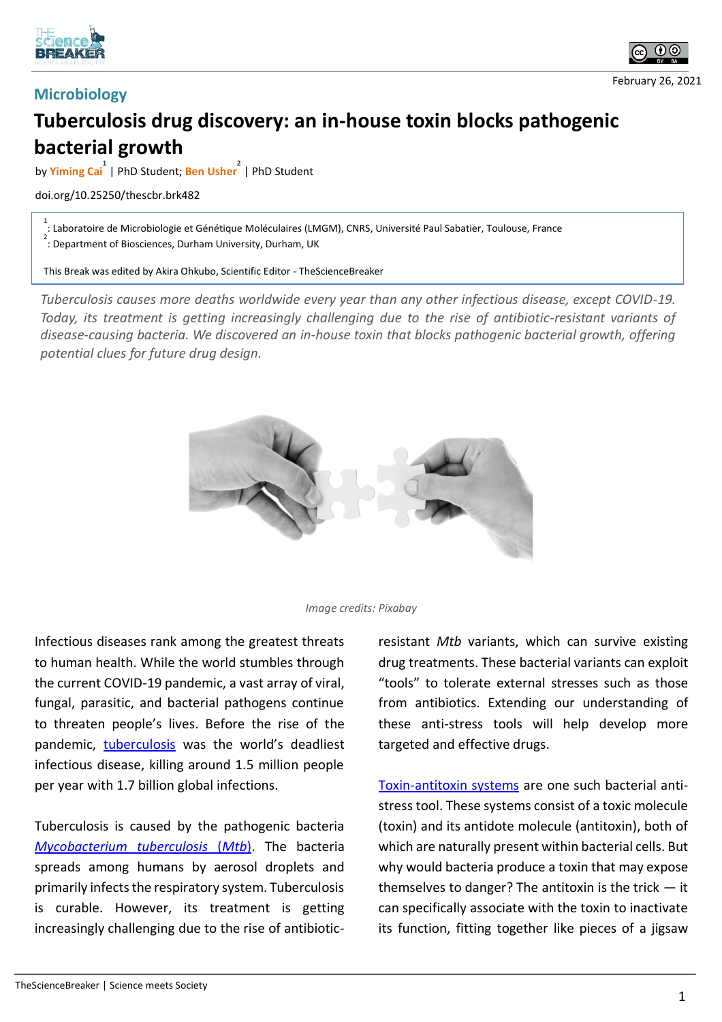



## **Microbiology**

February 26, 2021

## **Tuberculosis drug discovery: an in-house toxin blocks pathogenic bacterial growth**

by **Yiming Cai 1** | PhD Student; **Ben Usher 2** | PhD Student

## doi.org/10.25250/thescbr.brk482

1 : Laboratoire de Microbiologie et Génétique Moléculaires (LMGM), CNRS, Université Paul Sabatier, Toulouse, France

<sup>2</sup> : Department of Biosciences, Durham University, Durham, UK

This Break was edited by Akira Ohkubo, Scientific Editor - TheScienceBreaker

*Tuberculosis causes more deaths worldwide every year than any other infectious disease, except COVID-19. Today, its treatment is getting increasingly challenging due to the rise of antibiotic-resistant variants of disease-causing bacteria. We discovered an in-house toxin that blocks pathogenic bacterial growth, offering potential clues for future drug design.* 





Infectious diseases rank among the greatest threats to human health. While the world stumbles through the current COVID-19 pandemic, a vast array of viral, fungal, parasitic, and bacterial pathogens continue to threaten people's lives. Before the rise of the pandemic, tuberculosis was the world's deadliest infectious disease, killing around 1.5 million people per year with 1.7 billion global infections.

Tuberculosis is caused by the pathogenic bacteria *Mycobacterium tuberculosis* (*Mtb*). The bacteria spreads among humans by aerosol droplets and primarily infects the respiratory system. Tuberculosis is curable. However, its treatment is getting increasingly challenging due to the rise of antibioticresistant *Mtb* variants, which can survive existing drug treatments. These bacterial variants can exploit "tools" to tolerate external stresses such as those from antibiotics. Extending our understanding of these anti-stress tools will help develop more targeted and effective drugs.

Toxin-antitoxin systems are one such bacterial antistress tool. These systems consist of a toxic molecule (toxin) and its antidote molecule (antitoxin), both of which are naturally present within bacterial cells. But why would bacteria produce a toxin that may expose themselves to danger? The antitoxin is the trick  $-$  it can specifically associate with the toxin to inactivate its function, fitting together like pieces of a jigsaw